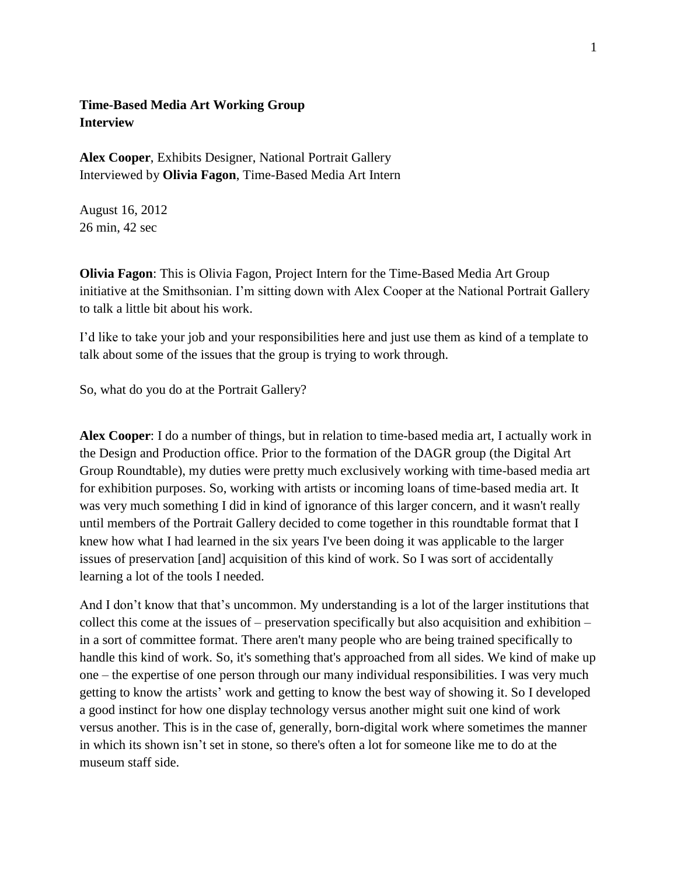## **Time-Based Media Art Working Group Interview**

**Alex Cooper**, Exhibits Designer, National Portrait Gallery Interviewed by **Olivia Fagon**, Time-Based Media Art Intern

August 16, 2012 26 min, 42 sec

**Olivia Fagon**: This is Olivia Fagon, Project Intern for the Time-Based Media Art Group initiative at the Smithsonian. I'm sitting down with Alex Cooper at the National Portrait Gallery to talk a little bit about his work.

I'd like to take your job and your responsibilities here and just use them as kind of a template to talk about some of the issues that the group is trying to work through.

So, what do you do at the Portrait Gallery?

**Alex Cooper**: I do a number of things, but in relation to time-based media art, I actually work in the Design and Production office. Prior to the formation of the DAGR group (the Digital Art Group Roundtable), my duties were pretty much exclusively working with time-based media art for exhibition purposes. So, working with artists or incoming loans of time-based media art. It was very much something I did in kind of ignorance of this larger concern, and it wasn't really until members of the Portrait Gallery decided to come together in this roundtable format that I knew how what I had learned in the six years I've been doing it was applicable to the larger issues of preservation [and] acquisition of this kind of work. So I was sort of accidentally learning a lot of the tools I needed.

And I don't know that that's uncommon. My understanding is a lot of the larger institutions that collect this come at the issues of – preservation specifically but also acquisition and exhibition – in a sort of committee format. There aren't many people who are being trained specifically to handle this kind of work. So, it's something that's approached from all sides. We kind of make up one – the expertise of one person through our many individual responsibilities. I was very much getting to know the artists' work and getting to know the best way of showing it. So I developed a good instinct for how one display technology versus another might suit one kind of work versus another. This is in the case of, generally, born-digital work where sometimes the manner in which its shown isn't set in stone, so there's often a lot for someone like me to do at the museum staff side.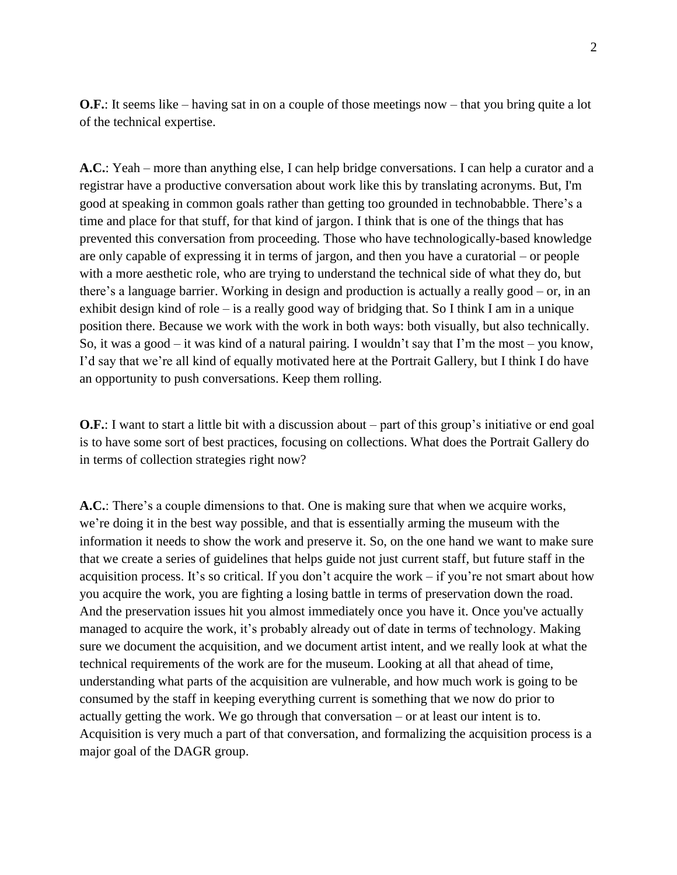**O.F.**: It seems like – having sat in on a couple of those meetings now – that you bring quite a lot of the technical expertise.

**A.C.**: Yeah – more than anything else, I can help bridge conversations. I can help a curator and a registrar have a productive conversation about work like this by translating acronyms. But, I'm good at speaking in common goals rather than getting too grounded in technobabble. There's a time and place for that stuff, for that kind of jargon. I think that is one of the things that has prevented this conversation from proceeding. Those who have technologically-based knowledge are only capable of expressing it in terms of jargon, and then you have a curatorial – or people with a more aesthetic role, who are trying to understand the technical side of what they do, but there's a language barrier. Working in design and production is actually a really good – or, in an exhibit design kind of role – is a really good way of bridging that. So I think I am in a unique position there. Because we work with the work in both ways: both visually, but also technically. So, it was a good – it was kind of a natural pairing. I wouldn't say that I'm the most – you know, I'd say that we're all kind of equally motivated here at the Portrait Gallery, but I think I do have an opportunity to push conversations. Keep them rolling.

**O.F.**: I want to start a little bit with a discussion about – part of this group's initiative or end goal is to have some sort of best practices, focusing on collections. What does the Portrait Gallery do in terms of collection strategies right now?

**A.C.**: There's a couple dimensions to that. One is making sure that when we acquire works, we're doing it in the best way possible, and that is essentially arming the museum with the information it needs to show the work and preserve it. So, on the one hand we want to make sure that we create a series of guidelines that helps guide not just current staff, but future staff in the acquisition process. It's so critical. If you don't acquire the work – if you're not smart about how you acquire the work, you are fighting a losing battle in terms of preservation down the road. And the preservation issues hit you almost immediately once you have it. Once you've actually managed to acquire the work, it's probably already out of date in terms of technology. Making sure we document the acquisition, and we document artist intent, and we really look at what the technical requirements of the work are for the museum. Looking at all that ahead of time, understanding what parts of the acquisition are vulnerable, and how much work is going to be consumed by the staff in keeping everything current is something that we now do prior to actually getting the work. We go through that conversation – or at least our intent is to. Acquisition is very much a part of that conversation, and formalizing the acquisition process is a major goal of the DAGR group.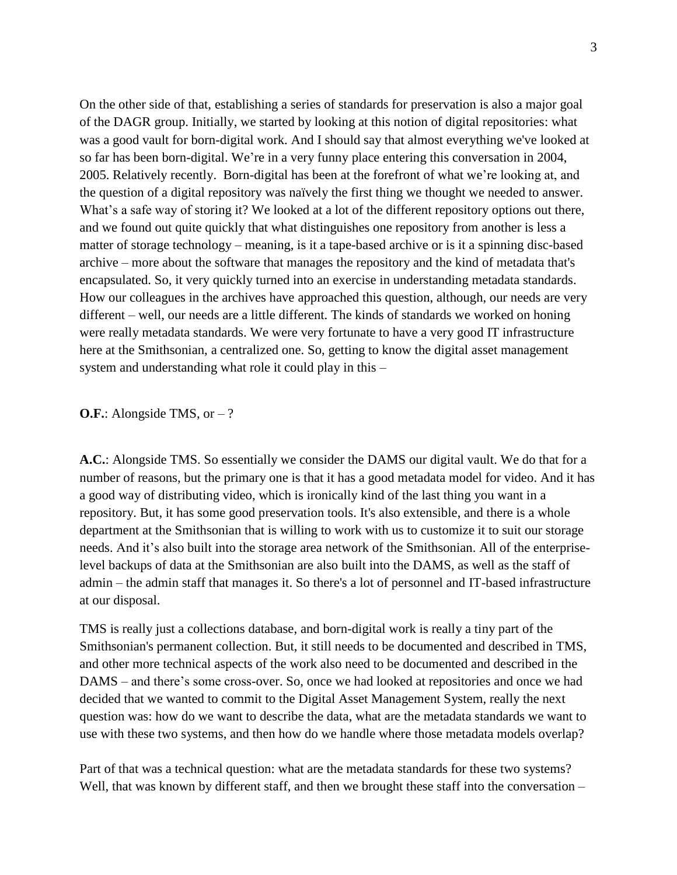On the other side of that, establishing a series of standards for preservation is also a major goal of the DAGR group. Initially, we started by looking at this notion of digital repositories: what was a good vault for born-digital work. And I should say that almost everything we've looked at so far has been born-digital. We're in a very funny place entering this conversation in 2004, 2005. Relatively recently. Born-digital has been at the forefront of what we're looking at, and the question of a digital repository was naïvely the first thing we thought we needed to answer. What's a safe way of storing it? We looked at a lot of the different repository options out there, and we found out quite quickly that what distinguishes one repository from another is less a matter of storage technology – meaning, is it a tape-based archive or is it a spinning disc-based archive – more about the software that manages the repository and the kind of metadata that's encapsulated. So, it very quickly turned into an exercise in understanding metadata standards. How our colleagues in the archives have approached this question, although, our needs are very different – well, our needs are a little different. The kinds of standards we worked on honing were really metadata standards. We were very fortunate to have a very good IT infrastructure here at the Smithsonian, a centralized one. So, getting to know the digital asset management system and understanding what role it could play in this –

## **O.F.:** Alongside TMS, or – ?

**A.C.**: Alongside TMS. So essentially we consider the DAMS our digital vault. We do that for a number of reasons, but the primary one is that it has a good metadata model for video. And it has a good way of distributing video, which is ironically kind of the last thing you want in a repository. But, it has some good preservation tools. It's also extensible, and there is a whole department at the Smithsonian that is willing to work with us to customize it to suit our storage needs. And it's also built into the storage area network of the Smithsonian. All of the enterpriselevel backups of data at the Smithsonian are also built into the DAMS, as well as the staff of admin – the admin staff that manages it. So there's a lot of personnel and IT-based infrastructure at our disposal.

TMS is really just a collections database, and born-digital work is really a tiny part of the Smithsonian's permanent collection. But, it still needs to be documented and described in TMS, and other more technical aspects of the work also need to be documented and described in the DAMS – and there's some cross-over. So, once we had looked at repositories and once we had decided that we wanted to commit to the Digital Asset Management System, really the next question was: how do we want to describe the data, what are the metadata standards we want to use with these two systems, and then how do we handle where those metadata models overlap?

Part of that was a technical question: what are the metadata standards for these two systems? Well, that was known by different staff, and then we brought these staff into the conversation –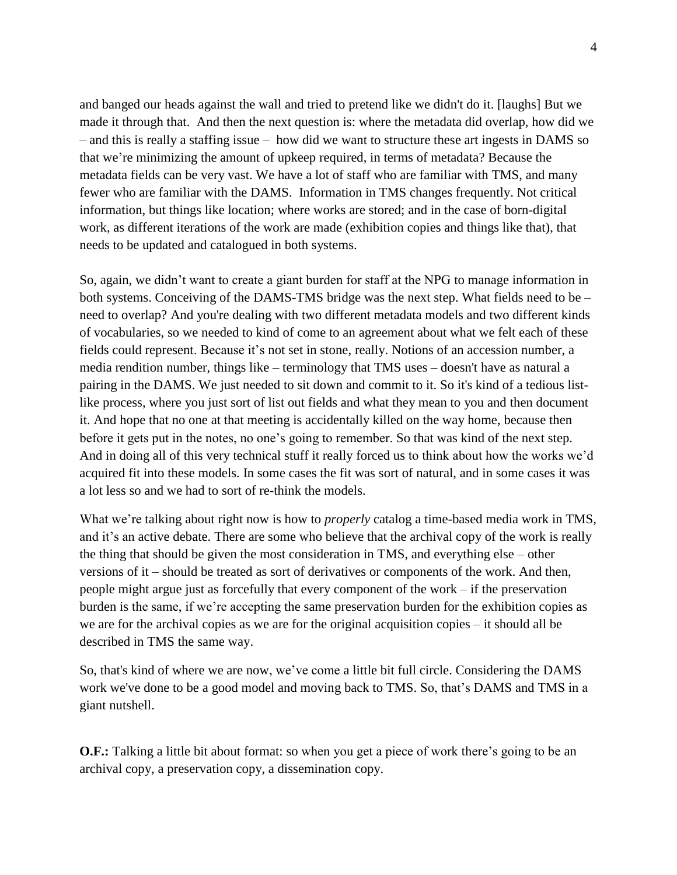and banged our heads against the wall and tried to pretend like we didn't do it. [laughs] But we made it through that. And then the next question is: where the metadata did overlap, how did we – and this is really a staffing issue – how did we want to structure these art ingests in DAMS so that we're minimizing the amount of upkeep required, in terms of metadata? Because the metadata fields can be very vast. We have a lot of staff who are familiar with TMS, and many fewer who are familiar with the DAMS. Information in TMS changes frequently. Not critical information, but things like location; where works are stored; and in the case of born-digital work, as different iterations of the work are made (exhibition copies and things like that), that needs to be updated and catalogued in both systems.

So, again, we didn't want to create a giant burden for staff at the NPG to manage information in both systems. Conceiving of the DAMS-TMS bridge was the next step. What fields need to be – need to overlap? And you're dealing with two different metadata models and two different kinds of vocabularies, so we needed to kind of come to an agreement about what we felt each of these fields could represent. Because it's not set in stone, really. Notions of an accession number, a media rendition number, things like – terminology that TMS uses – doesn't have as natural a pairing in the DAMS. We just needed to sit down and commit to it. So it's kind of a tedious listlike process, where you just sort of list out fields and what they mean to you and then document it. And hope that no one at that meeting is accidentally killed on the way home, because then before it gets put in the notes, no one's going to remember. So that was kind of the next step. And in doing all of this very technical stuff it really forced us to think about how the works we'd acquired fit into these models. In some cases the fit was sort of natural, and in some cases it was a lot less so and we had to sort of re-think the models.

What we're talking about right now is how to *properly* catalog a time-based media work in TMS, and it's an active debate. There are some who believe that the archival copy of the work is really the thing that should be given the most consideration in TMS, and everything else – other versions of it – should be treated as sort of derivatives or components of the work. And then, people might argue just as forcefully that every component of the work – if the preservation burden is the same, if we're accepting the same preservation burden for the exhibition copies as we are for the archival copies as we are for the original acquisition copies – it should all be described in TMS the same way.

So, that's kind of where we are now, we've come a little bit full circle. Considering the DAMS work we've done to be a good model and moving back to TMS. So, that's DAMS and TMS in a giant nutshell.

**O.F.:** Talking a little bit about format: so when you get a piece of work there's going to be an archival copy, a preservation copy, a dissemination copy.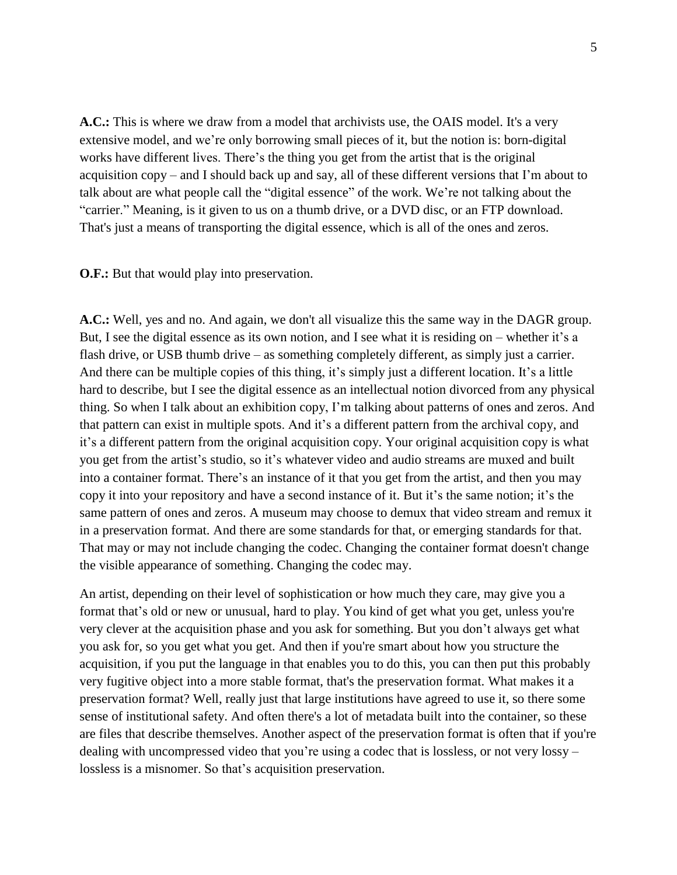**A.C.:** This is where we draw from a model that archivists use, the OAIS model. It's a very extensive model, and we're only borrowing small pieces of it, but the notion is: born-digital works have different lives. There's the thing you get from the artist that is the original acquisition copy – and I should back up and say, all of these different versions that I'm about to talk about are what people call the "digital essence" of the work. We're not talking about the "carrier." Meaning, is it given to us on a thumb drive, or a DVD disc, or an FTP download. That's just a means of transporting the digital essence, which is all of the ones and zeros.

**O.F.:** But that would play into preservation.

**A.C.:** Well, yes and no. And again, we don't all visualize this the same way in the DAGR group. But, I see the digital essence as its own notion, and I see what it is residing on – whether it's a flash drive, or USB thumb drive – as something completely different, as simply just a carrier. And there can be multiple copies of this thing, it's simply just a different location. It's a little hard to describe, but I see the digital essence as an intellectual notion divorced from any physical thing. So when I talk about an exhibition copy, I'm talking about patterns of ones and zeros. And that pattern can exist in multiple spots. And it's a different pattern from the archival copy, and it's a different pattern from the original acquisition copy. Your original acquisition copy is what you get from the artist's studio, so it's whatever video and audio streams are muxed and built into a container format. There's an instance of it that you get from the artist, and then you may copy it into your repository and have a second instance of it. But it's the same notion; it's the same pattern of ones and zeros. A museum may choose to demux that video stream and remux it in a preservation format. And there are some standards for that, or emerging standards for that. That may or may not include changing the codec. Changing the container format doesn't change the visible appearance of something. Changing the codec may.

An artist, depending on their level of sophistication or how much they care, may give you a format that's old or new or unusual, hard to play. You kind of get what you get, unless you're very clever at the acquisition phase and you ask for something. But you don't always get what you ask for, so you get what you get. And then if you're smart about how you structure the acquisition, if you put the language in that enables you to do this, you can then put this probably very fugitive object into a more stable format, that's the preservation format. What makes it a preservation format? Well, really just that large institutions have agreed to use it, so there some sense of institutional safety. And often there's a lot of metadata built into the container, so these are files that describe themselves. Another aspect of the preservation format is often that if you're dealing with uncompressed video that you're using a codec that is lossless, or not very lossy – lossless is a misnomer. So that's acquisition preservation.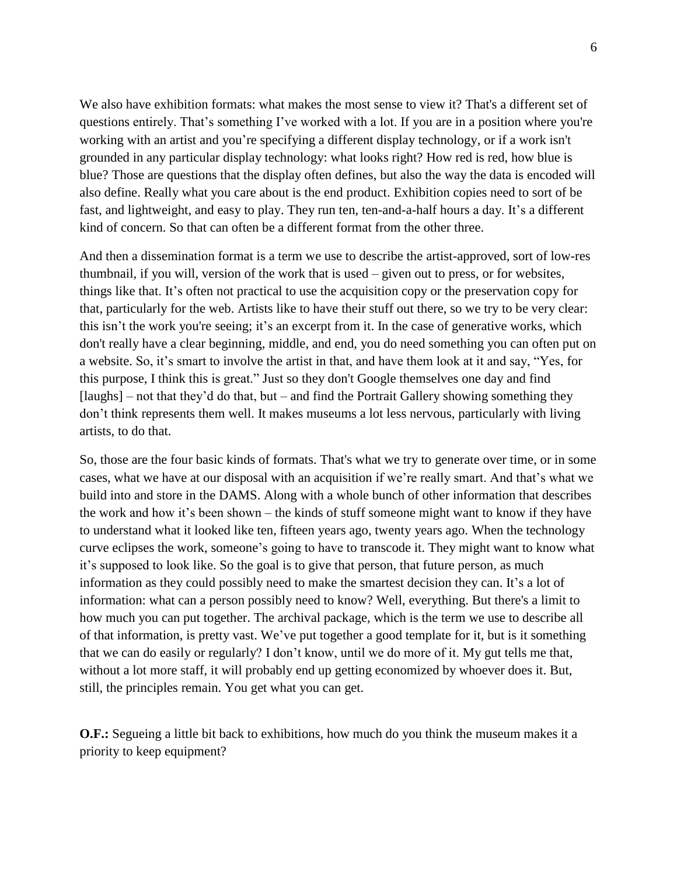We also have exhibition formats: what makes the most sense to view it? That's a different set of questions entirely. That's something I've worked with a lot. If you are in a position where you're working with an artist and you're specifying a different display technology, or if a work isn't grounded in any particular display technology: what looks right? How red is red, how blue is blue? Those are questions that the display often defines, but also the way the data is encoded will also define. Really what you care about is the end product. Exhibition copies need to sort of be fast, and lightweight, and easy to play. They run ten, ten-and-a-half hours a day. It's a different kind of concern. So that can often be a different format from the other three.

And then a dissemination format is a term we use to describe the artist-approved, sort of low-res thumbnail, if you will, version of the work that is used – given out to press, or for websites, things like that. It's often not practical to use the acquisition copy or the preservation copy for that, particularly for the web. Artists like to have their stuff out there, so we try to be very clear: this isn't the work you're seeing; it's an excerpt from it. In the case of generative works, which don't really have a clear beginning, middle, and end, you do need something you can often put on a website. So, it's smart to involve the artist in that, and have them look at it and say, "Yes, for this purpose, I think this is great." Just so they don't Google themselves one day and find [laughs] – not that they'd do that, but – and find the Portrait Gallery showing something they don't think represents them well. It makes museums a lot less nervous, particularly with living artists, to do that.

So, those are the four basic kinds of formats. That's what we try to generate over time, or in some cases, what we have at our disposal with an acquisition if we're really smart. And that's what we build into and store in the DAMS. Along with a whole bunch of other information that describes the work and how it's been shown – the kinds of stuff someone might want to know if they have to understand what it looked like ten, fifteen years ago, twenty years ago. When the technology curve eclipses the work, someone's going to have to transcode it. They might want to know what it's supposed to look like. So the goal is to give that person, that future person, as much information as they could possibly need to make the smartest decision they can. It's a lot of information: what can a person possibly need to know? Well, everything. But there's a limit to how much you can put together. The archival package, which is the term we use to describe all of that information, is pretty vast. We've put together a good template for it, but is it something that we can do easily or regularly? I don't know, until we do more of it. My gut tells me that, without a lot more staff, it will probably end up getting economized by whoever does it. But, still, the principles remain. You get what you can get.

**O.F.:** Segueing a little bit back to exhibitions, how much do you think the museum makes it a priority to keep equipment?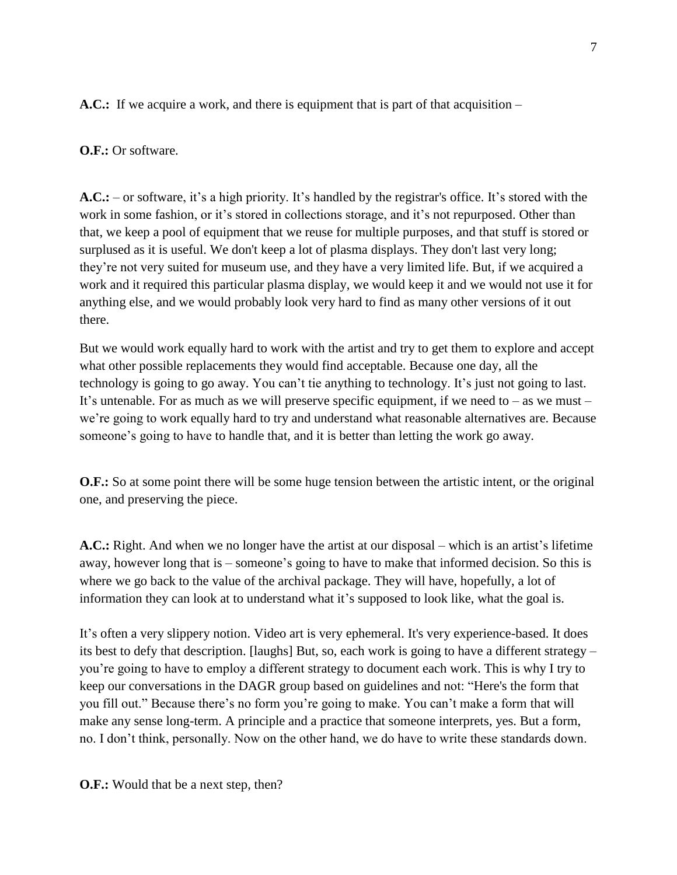**A.C.:** If we acquire a work, and there is equipment that is part of that acquisition –

## **O.F.:** Or software.

**A.C.:** – or software, it's a high priority. It's handled by the registrar's office. It's stored with the work in some fashion, or it's stored in collections storage, and it's not repurposed. Other than that, we keep a pool of equipment that we reuse for multiple purposes, and that stuff is stored or surplused as it is useful. We don't keep a lot of plasma displays. They don't last very long; they're not very suited for museum use, and they have a very limited life. But, if we acquired a work and it required this particular plasma display, we would keep it and we would not use it for anything else, and we would probably look very hard to find as many other versions of it out there.

But we would work equally hard to work with the artist and try to get them to explore and accept what other possible replacements they would find acceptable. Because one day, all the technology is going to go away. You can't tie anything to technology. It's just not going to last. It's untenable. For as much as we will preserve specific equipment, if we need to – as we must – we're going to work equally hard to try and understand what reasonable alternatives are. Because someone's going to have to handle that, and it is better than letting the work go away.

**O.F.:** So at some point there will be some huge tension between the artistic intent, or the original one, and preserving the piece.

**A.C.:** Right. And when we no longer have the artist at our disposal – which is an artist's lifetime away, however long that is – someone's going to have to make that informed decision. So this is where we go back to the value of the archival package. They will have, hopefully, a lot of information they can look at to understand what it's supposed to look like, what the goal is.

It's often a very slippery notion. Video art is very ephemeral. It's very experience-based. It does its best to defy that description. [laughs] But, so, each work is going to have a different strategy – you're going to have to employ a different strategy to document each work. This is why I try to keep our conversations in the DAGR group based on guidelines and not: "Here's the form that you fill out." Because there's no form you're going to make. You can't make a form that will make any sense long-term. A principle and a practice that someone interprets, yes. But a form, no. I don't think, personally. Now on the other hand, we do have to write these standards down.

**O.F.:** Would that be a next step, then?